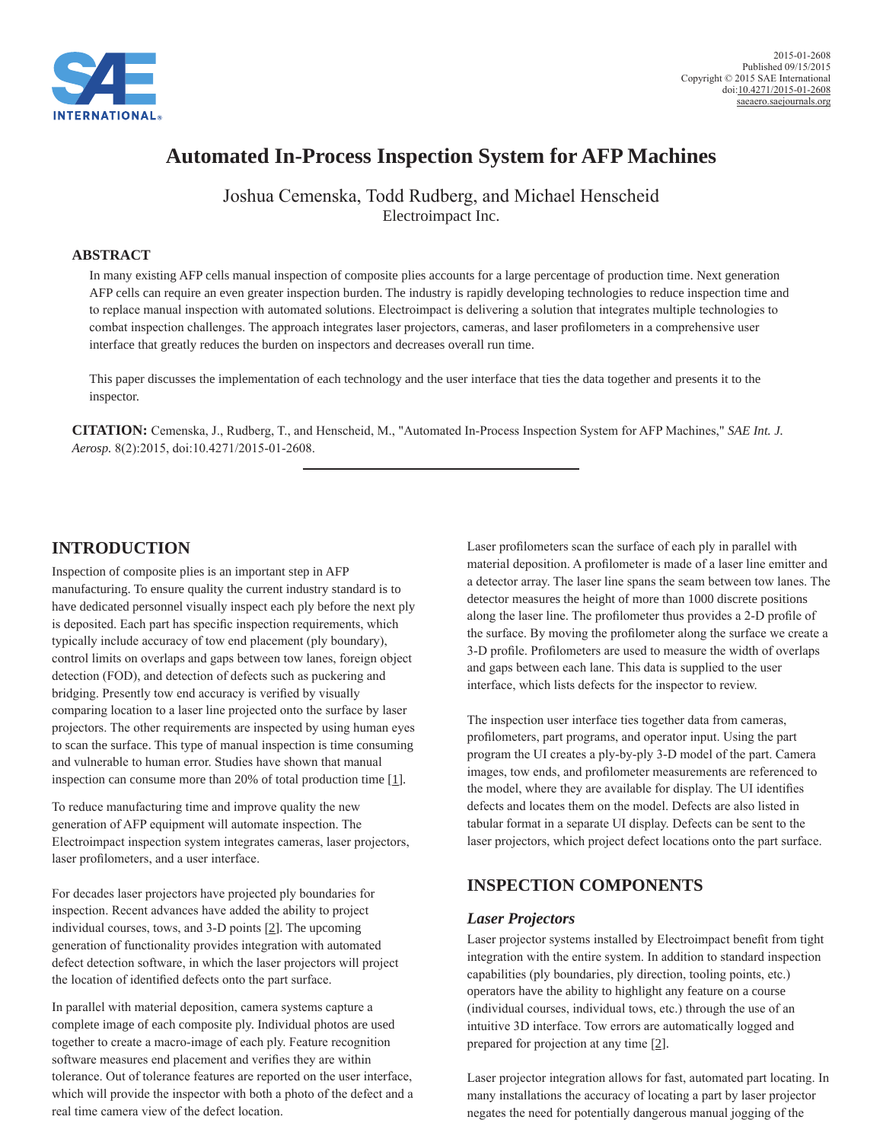

# **Automated In-Process Inspection System for AFP Machines**

Joshua Cemenska, Todd Rudberg, and Michael Henscheid Electroimpact Inc.

### **ABSTRACT**

In many existing AFP cells manual inspection of composite plies accounts for a large percentage of production time. Next generation AFP cells can require an even greater inspection burden. The industry is rapidly developing technologies to reduce inspection time and to replace manual inspection with automated solutions. Electroimpact is delivering a solution that integrates multiple technologies to combat inspection challenges. The approach integrates laser projectors, cameras, and laser profilometers in a comprehensive user interface that greatly reduces the burden on inspectors and decreases overall run time.

This paper discusses the implementation of each technology and the user interface that ties the data together and presents it to the inspector.

**CITATION:** Cemenska, J., Rudberg, T., and Henscheid, M., "Automated In-Process Inspection System for AFP Machines," *SAE Int. J. Aerosp.* 8(2):2015, doi:10.4271/2015-01-2608.

# **INTRODUCTION**

Inspection of composite plies is an important step in AFP manufacturing. To ensure quality the current industry standard is to have dedicated personnel visually inspect each ply before the next ply is deposited. Each part has specific inspection requirements, which typically include accuracy of tow end placement (ply boundary), control limits on overlaps and gaps between tow lanes, foreign object detection (FOD), and detection of defects such as puckering and bridging. Presently tow end accuracy is verified by visually comparing location to a laser line projected onto the surface by laser projectors. The other requirements are inspected by using human eyes to scan the surface. This type of manual inspection is time consuming and vulnerable to human error. Studies have shown that manual inspection can consume more than 20% of total production time [[1](#page-6-0)].

To reduce manufacturing time and improve quality the new generation of AFP equipment will automate inspection. The Electroimpact inspection system integrates cameras, laser projectors, laser profilometers, and a user interface.

For decades laser projectors have projected ply boundaries for inspection. Recent advances have added the ability to project individual courses, tows, and 3-D points [[2\]](#page-6-1). The upcoming generation of functionality provides integration with automated defect detection software, in which the laser projectors will project the location of identified defects onto the part surface.

In parallel with material deposition, camera systems capture a complete image of each composite ply. Individual photos are used together to create a macro-image of each ply. Feature recognition software measures end placement and verifies they are within tolerance. Out of tolerance features are reported on the user interface, which will provide the inspector with both a photo of the defect and a real time camera view of the defect location.

Laser profilometers scan the surface of each ply in parallel with material deposition. A profilometer is made of a laser line emitter and a detector array. The laser line spans the seam between tow lanes. The detector measures the height of more than 1000 discrete positions along the laser line. The profilometer thus provides a 2-D profile of the surface. By moving the profilometer along the surface we create a 3-D profile. Profilometers are used to measure the width of overlaps and gaps between each lane. This data is supplied to the user interface, which lists defects for the inspector to review.

The inspection user interface ties together data from cameras, profilometers, part programs, and operator input. Using the part program the UI creates a ply-by-ply 3-D model of the part. Camera images, tow ends, and profilometer measurements are referenced to the model, where they are available for display. The UI identifies defects and locates them on the model. Defects are also listed in tabular format in a separate UI display. Defects can be sent to the laser projectors, which project defect locations onto the part surface.

# **INSPECTION COMPONENTS**

### *Laser Projectors*

Laser projector systems installed by Electroimpact benefit from tight integration with the entire system. In addition to standard inspection capabilities (ply boundaries, ply direction, tooling points, etc.) operators have the ability to highlight any feature on a course (individual courses, individual tows, etc.) through the use of an intuitive 3D interface. Tow errors are automatically logged and prepared for projection at any time [[2\]](#page-6-1).

Laser projector integration allows for fast, automated part locating. In many installations the accuracy of locating a part by laser projector negates the need for potentially dangerous manual jogging of the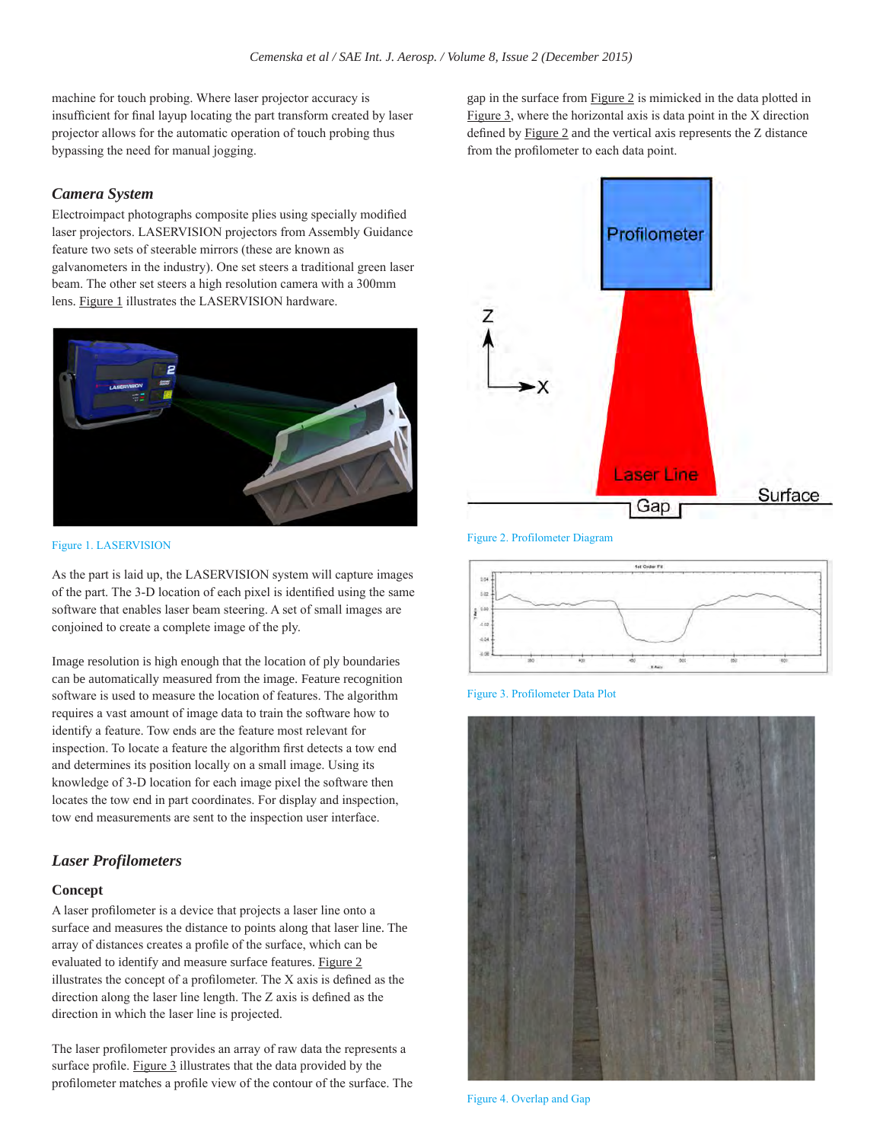machine for touch probing. Where laser projector accuracy is insufficient for final layup locating the part transform created by laser projector allows for the automatic operation of touch probing thus bypassing the need for manual jogging.

## *Camera System*

Electroimpact photographs composite plies using specially modified laser projectors. LASERVISION projectors from Assembly Guidance feature two sets of steerable mirrors (these are known as galvanometers in the industry). One set steers a traditional green laser beam. The other set steers a high resolution camera with a 300mm lens. [Figure 1](#page-1-0) illustrates the LASERVISION hardware.



Figure 1. LASERVISION

<span id="page-1-0"></span>As the part is laid up, the LASERVISION system will capture images of the part. The 3-D location of each pixel is identified using the same software that enables laser beam steering. A set of small images are conjoined to create a complete image of the ply.

Image resolution is high enough that the location of ply boundaries can be automatically measured from the image. Feature recognition software is used to measure the location of features. The algorithm requires a vast amount of image data to train the software how to identify a feature. Tow ends are the feature most relevant for inspection. To locate a feature the algorithm first detects a tow end and determines its position locally on a small image. Using its knowledge of 3-D location for each image pixel the software then locates the tow end in part coordinates. For display and inspection, tow end measurements are sent to the inspection user interface.

## *Laser Profilometers*

## **Concept**

A laser profilometer is a device that projects a laser line onto a surface and measures the distance to points along that laser line. The array of distances creates a profile of the surface, which can be evaluated to identify and measure surface features. [Figure 2](#page-1-1) illustrates the concept of a profilometer. The X axis is defined as the direction along the laser line length. The Z axis is defined as the direction in which the laser line is projected.

The laser profilometer provides an array of raw data the represents a surface profile. [Figure 3](#page-1-2) illustrates that the data provided by the profilometer matches a profile view of the contour of the surface. The gap in the surface from [Figure 2](#page-1-1) is mimicked in the data plotted in [Figure 3](#page-1-2), where the horizontal axis is data point in the X direction defined by [Figure 2](#page-1-1) and the vertical axis represents the Z distance from the profilometer to each data point.



<span id="page-1-1"></span>Figure 2. Profilometer Diagram



<span id="page-1-2"></span>Figure 3. Profilometer Data Plot



<span id="page-1-3"></span>Figure 4. Overlap and Gap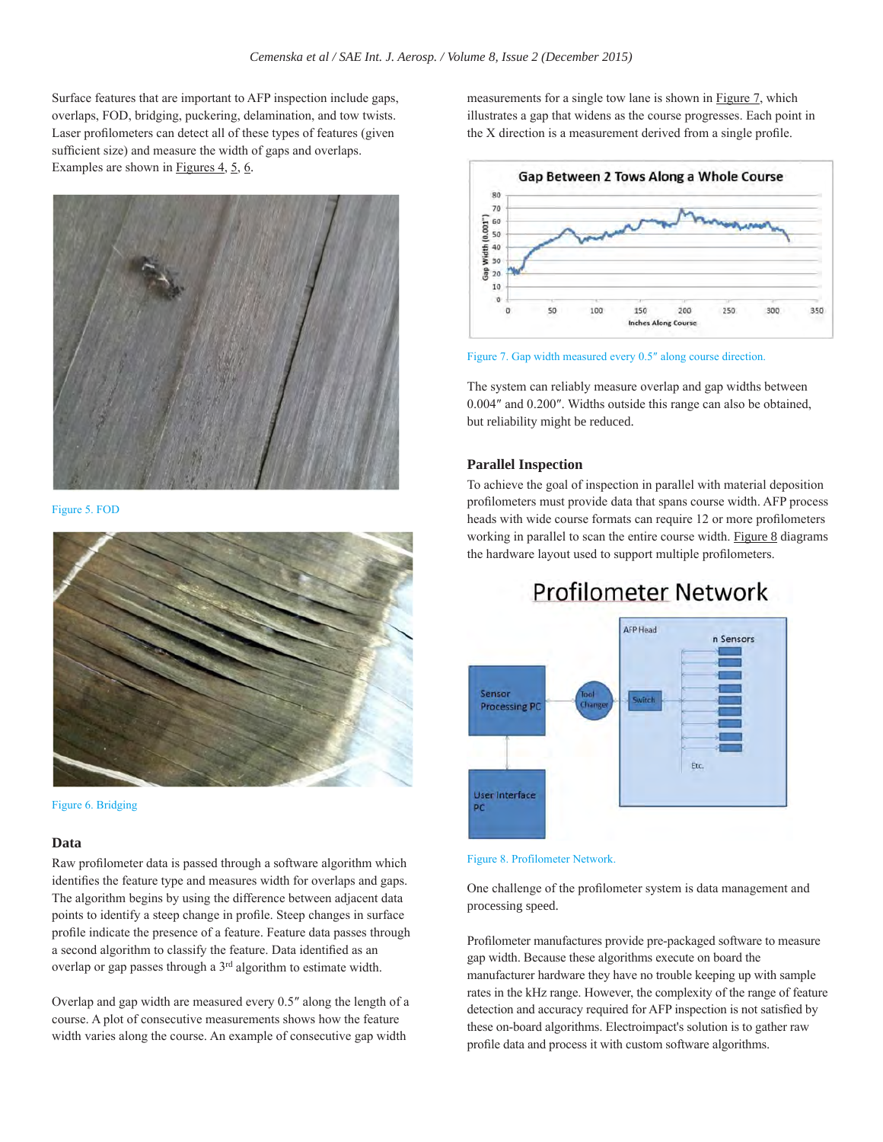Surface features that are important to AFP inspection include gaps, overlaps, FOD, bridging, puckering, delamination, and tow twists. Laser profilometers can detect all of these types of features (given sufficient size) and measure the width of gaps and overlaps. Examples are shown in [Figures 4,](#page-1-3) 5, [6](#page-2-0).



Figure 5. FOD



Figure 6. Bridging

#### <span id="page-2-0"></span>**Data**

Raw profilometer data is passed through a software algorithm which identifies the feature type and measures width for overlaps and gaps. The algorithm begins by using the difference between adjacent data points to identify a steep change in profile. Steep changes in surface profile indicate the presence of a feature. Feature data passes through a second algorithm to classify the feature. Data identified as an overlap or gap passes through a 3<sup>rd</sup> algorithm to estimate width.

Overlap and gap width are measured every 0.5″ along the length of a course. A plot of consecutive measurements shows how the feature width varies along the course. An example of consecutive gap width

measurements for a single tow lane is shown in [Figure 7,](#page-2-1) which illustrates a gap that widens as the course progresses. Each point in the X direction is a measurement derived from a single profile.



<span id="page-2-1"></span>Figure 7. Gap width measured every 0.5″ along course direction.

The system can reliably measure overlap and gap widths between 0.004″ and 0.200″. Widths outside this range can also be obtained, but reliability might be reduced.

#### **Parallel Inspection**

To achieve the goal of inspection in parallel with material deposition profilometers must provide data that spans course width. AFP process heads with wide course formats can require 12 or more profilometers working in parallel to scan the entire course width. [Figure 8](#page-2-2) diagrams the hardware layout used to support multiple profilometers.



# **Profilometer Network**

<span id="page-2-2"></span>Figure 8. Profilometer Network.

One challenge of the profilometer system is data management and processing speed.

Profilometer manufactures provide pre-packaged software to measure gap width. Because these algorithms execute on board the manufacturer hardware they have no trouble keeping up with sample rates in the kHz range. However, the complexity of the range of feature detection and accuracy required for AFP inspection is not satisfied by these on-board algorithms. Electroimpact's solution is to gather raw profile data and process it with custom software algorithms.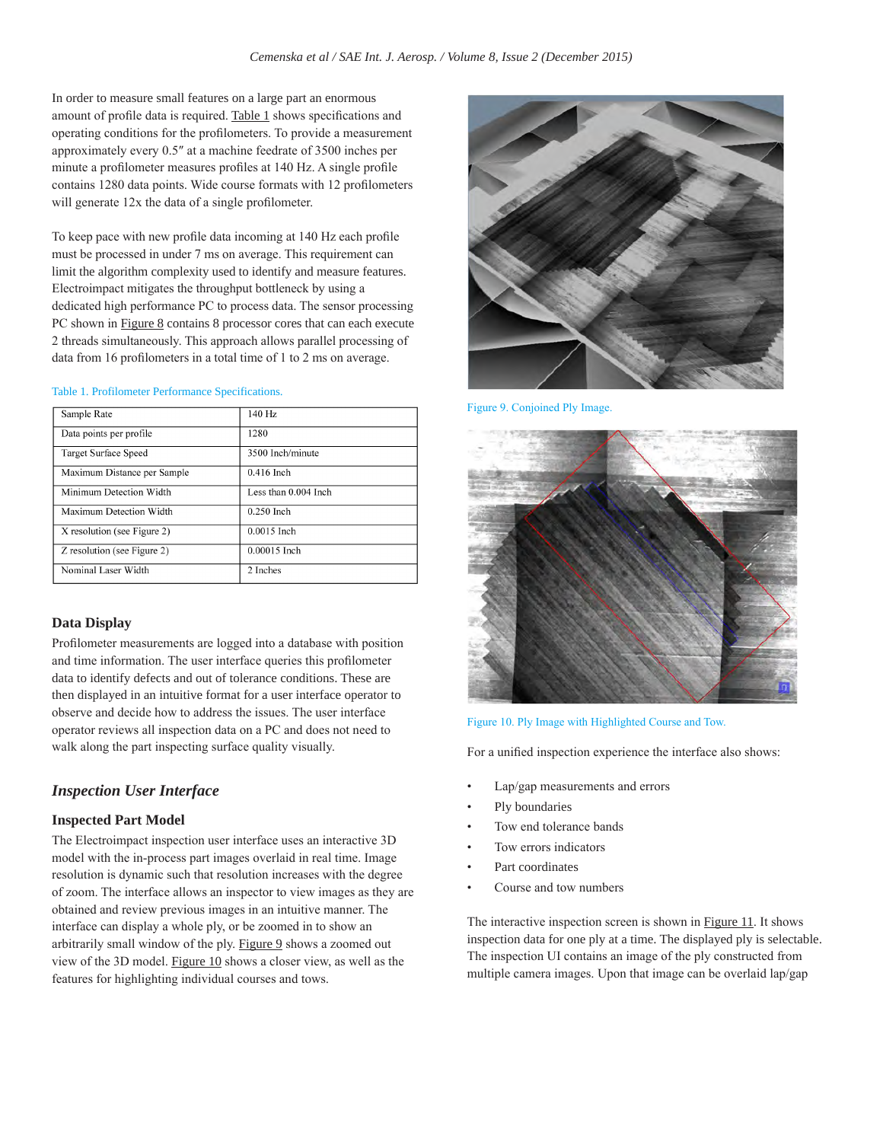In order to measure small features on a large part an enormous amount of profile data is required. [Table 1](#page-3-0) shows specifications and operating conditions for the profilometers. To provide a measurement approximately every 0.5″ at a machine feedrate of 3500 inches per minute a profilometer measures profiles at 140 Hz. A single profile contains 1280 data points. Wide course formats with 12 profilometers will generate 12x the data of a single profilometer.

To keep pace with new profile data incoming at 140 Hz each profile must be processed in under 7 ms on average. This requirement can limit the algorithm complexity used to identify and measure features. Electroimpact mitigates the throughput bottleneck by using a dedicated high performance PC to process data. The sensor processing PC shown in [Figure 8](#page-2-2) contains 8 processor cores that can each execute 2 threads simultaneously. This approach allows parallel processing of data from 16 profilometers in a total time of 1 to 2 ms on average.

#### Table 1. Profilometer Performance Specifications.

| Sample Rate                 | 140 Hz               |
|-----------------------------|----------------------|
| Data points per profile     | 1280                 |
| Target Surface Speed        | 3500 Inch/minute     |
| Maximum Distance per Sample | $0.416$ Inch         |
| Minimum Detection Width     | Less than 0.004 Inch |
| Maximum Detection Width     | $0.250$ Inch         |
| X resolution (see Figure 2) | $0.0015$ Inch        |
| Z resolution (see Figure 2) | 0.00015 Inch         |
| Nominal Laser Width         | 2 Inches             |

#### <span id="page-3-0"></span>**Data Display**

Profilometer measurements are logged into a database with position and time information. The user interface queries this profilometer data to identify defects and out of tolerance conditions. These are then displayed in an intuitive format for a user interface operator to observe and decide how to address the issues. The user interface operator reviews all inspection data on a PC and does not need to walk along the part inspecting surface quality visually.

### *Inspection User Interface*

#### **Inspected Part Model**

The Electroimpact inspection user interface uses an interactive 3D model with the in-process part images overlaid in real time. Image resolution is dynamic such that resolution increases with the degree of zoom. The interface allows an inspector to view images as they are obtained and review previous images in an intuitive manner. The interface can display a whole ply, or be zoomed in to show an arbitrarily small window of the ply. [Figure 9](#page-3-1) shows a zoomed out view of the 3D model. [Figure 10](#page-3-2) shows a closer view, as well as the features for highlighting individual courses and tows.



Figure 9. Conjoined Ply Image.

<span id="page-3-1"></span>

Figure 10. Ply Image with Highlighted Course and Tow.

<span id="page-3-2"></span>For a unified inspection experience the interface also shows:

- Lap/gap measurements and errors
- Ply boundaries
- Tow end tolerance bands
- Tow errors indicators
- Part coordinates
- Course and tow numbers

The interactive inspection screen is shown in [Figure 11](#page-4-0). It shows inspection data for one ply at a time. The displayed ply is selectable. The inspection UI contains an image of the ply constructed from multiple camera images. Upon that image can be overlaid lap/gap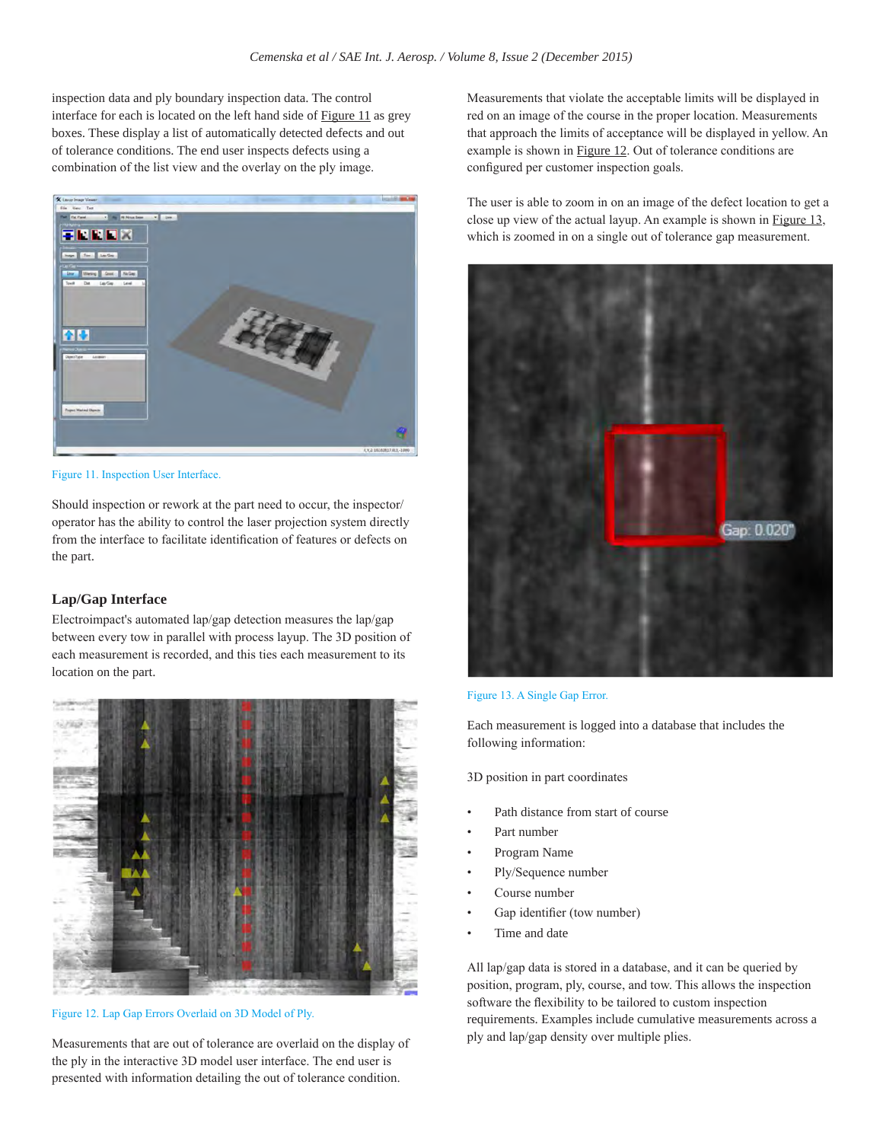inspection data and ply boundary inspection data. The control interface for each is located on the left hand side of [Figure 11](#page-4-0) as grey boxes. These display a list of automatically detected defects and out of tolerance conditions. The end user inspects defects using a combination of the list view and the overlay on the ply image.



Figure 11. Inspection User Interface.

<span id="page-4-0"></span>Should inspection or rework at the part need to occur, the inspector/ operator has the ability to control the laser projection system directly from the interface to facilitate identification of features or defects on the part.

#### **Lap/Gap Interface**

Electroimpact's automated lap/gap detection measures the lap/gap between every tow in parallel with process layup. The 3D position of each measurement is recorded, and this ties each measurement to its location on the part.



Figure 12. Lap Gap Errors Overlaid on 3D Model of Ply.

<span id="page-4-1"></span>Measurements that are out of tolerance are overlaid on the display of the ply in the interactive 3D model user interface. The end user is presented with information detailing the out of tolerance condition.

Measurements that violate the acceptable limits will be displayed in red on an image of the course in the proper location. Measurements that approach the limits of acceptance will be displayed in yellow. An example is shown in [Figure 12](#page-4-1). Out of tolerance conditions are configured per customer inspection goals.

The user is able to zoom in on an image of the defect location to get a close up view of the actual layup. An example is shown in [Figure 13](#page-4-2), which is zoomed in on a single out of tolerance gap measurement.



#### <span id="page-4-2"></span>Figure 13. A Single Gap Error.

Each measurement is logged into a database that includes the following information:

3D position in part coordinates

- Path distance from start of course
- Part number
- Program Name
- Ply/Sequence number
- Course number
- Gap identifier (tow number)
- Time and date

All lap/gap data is stored in a database, and it can be queried by position, program, ply, course, and tow. This allows the inspection software the flexibility to be tailored to custom inspection requirements. Examples include cumulative measurements across a ply and lap/gap density over multiple plies.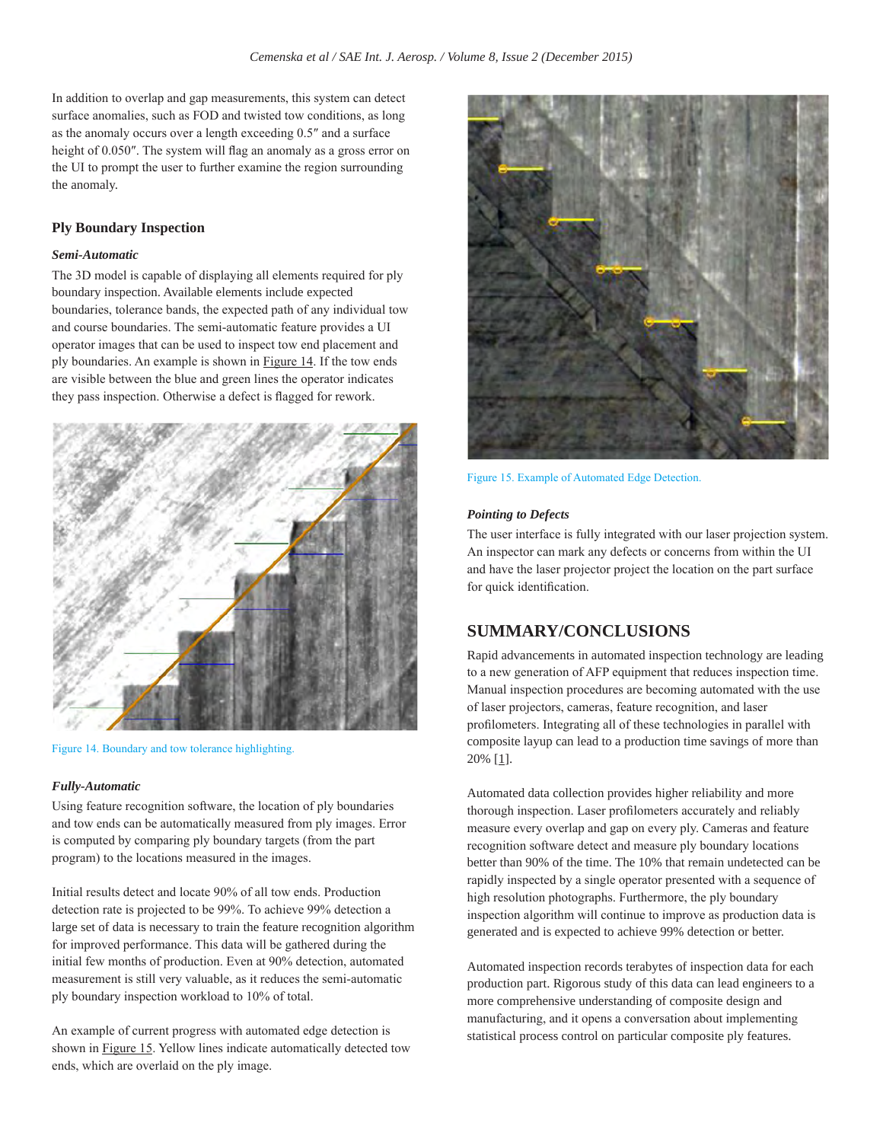In addition to overlap and gap measurements, this system can detect surface anomalies, such as FOD and twisted tow conditions, as long as the anomaly occurs over a length exceeding 0.5″ and a surface height of 0.050″. The system will flag an anomaly as a gross error on the UI to prompt the user to further examine the region surrounding the anomaly.

#### **Ply Boundary Inspection**

#### *Semi-Automatic*

The 3D model is capable of displaying all elements required for ply boundary inspection. Available elements include expected boundaries, tolerance bands, the expected path of any individual tow and course boundaries. The semi-automatic feature provides a UI operator images that can be used to inspect tow end placement and ply boundaries. An example is shown in [Figure 14](#page-5-0). If the tow ends are visible between the blue and green lines the operator indicates they pass inspection. Otherwise a defect is flagged for rework.



Figure 14. Boundary and tow tolerance highlighting.

#### <span id="page-5-0"></span>*Fully-Automatic*

Using feature recognition software, the location of ply boundaries and tow ends can be automatically measured from ply images. Error is computed by comparing ply boundary targets (from the part program) to the locations measured in the images.

Initial results detect and locate 90% of all tow ends. Production detection rate is projected to be 99%. To achieve 99% detection a large set of data is necessary to train the feature recognition algorithm for improved performance. This data will be gathered during the initial few months of production. Even at 90% detection, automated measurement is still very valuable, as it reduces the semi-automatic ply boundary inspection workload to 10% of total.

An example of current progress with automated edge detection is shown in [Figure 15.](#page-5-1) Yellow lines indicate automatically detected tow ends, which are overlaid on the ply image.



Figure 15. Example of Automated Edge Detection.

#### <span id="page-5-1"></span>*Pointing to Defects*

The user interface is fully integrated with our laser projection system. An inspector can mark any defects or concerns from within the UI and have the laser projector project the location on the part surface for quick identification.

# **SUMMARY/CONCLUSIONS**

Rapid advancements in automated inspection technology are leading to a new generation of AFP equipment that reduces inspection time. Manual inspection procedures are becoming automated with the use of laser projectors, cameras, feature recognition, and laser profilometers. Integrating all of these technologies in parallel with composite layup can lead to a production time savings of more than 20% [[1](#page-6-0)].

Automated data collection provides higher reliability and more thorough inspection. Laser profilometers accurately and reliably measure every overlap and gap on every ply. Cameras and feature recognition software detect and measure ply boundary locations better than 90% of the time. The 10% that remain undetected can be rapidly inspected by a single operator presented with a sequence of high resolution photographs. Furthermore, the ply boundary inspection algorithm will continue to improve as production data is generated and is expected to achieve 99% detection or better.

Automated inspection records terabytes of inspection data for each production part. Rigorous study of this data can lead engineers to a more comprehensive understanding of composite design and manufacturing, and it opens a conversation about implementing statistical process control on particular composite ply features.